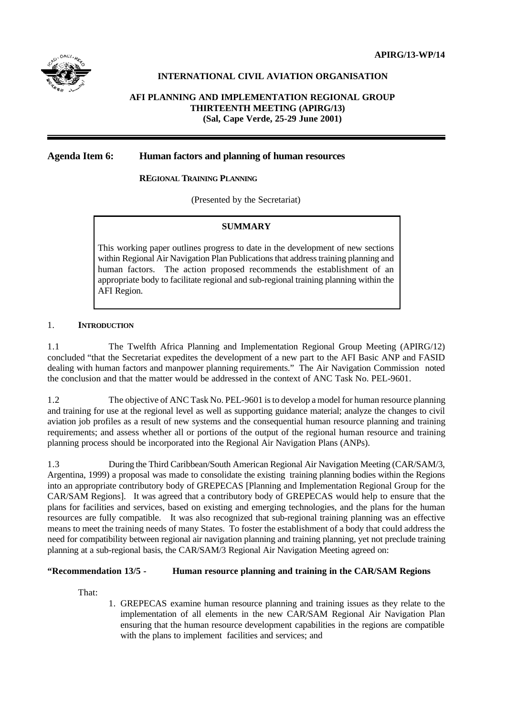# **INTERNATIONAL CIVIL AVIATION ORGANISATION**

# **AFI PLANNING AND IMPLEMENTATION REGIONAL GROUP THIRTEENTH MEETING (APIRG/13) (Sal, Cape Verde, 25-29 June 2001)**

### **Agenda Item 6: Human factors and planning of human resources**

### **REGIONAL TRAINING PLANNING**

(Presented by the Secretariat)

### **SUMMARY**

This working paper outlines progress to date in the development of new sections within Regional Air Navigation Plan Publications that address training planning and human factors. The action proposed recommends the establishment of an appropriate body to facilitate regional and sub-regional training planning within the AFI Region.

### 1. **INTRODUCTION**

1.1 The Twelfth Africa Planning and Implementation Regional Group Meeting (APIRG/12) concluded "that the Secretariat expedites the development of a new part to the AFI Basic ANP and FASID dealing with human factors and manpower planning requirements." The Air Navigation Commission noted the conclusion and that the matter would be addressed in the context of ANC Task No. PEL-9601.

1.2 The objective of ANC Task No. PEL-9601 is to develop a model for human resource planning and training for use at the regional level as well as supporting guidance material; analyze the changes to civil aviation job profiles as a result of new systems and the consequential human resource planning and training requirements; and assess whether all or portions of the output of the regional human resource and training planning process should be incorporated into the Regional Air Navigation Plans (ANPs).

1.3 During the Third Caribbean/South American Regional Air Navigation Meeting (CAR/SAM/3, Argentina, 1999) a proposal was made to consolidate the existing training planning bodies within the Regions into an appropriate contributory body of GREPECAS [Planning and Implementation Regional Group for the CAR/SAM Regions]. It was agreed that a contributory body of GREPECAS would help to ensure that the plans for facilities and services, based on existing and emerging technologies, and the plans for the human resources are fully compatible. It was also recognized that sub-regional training planning was an effective means to meet the training needs of many States. To foster the establishment of a body that could address the need for compatibility between regional air navigation planning and training planning, yet not preclude training planning at a sub-regional basis, the CAR/SAM/3 Regional Air Navigation Meeting agreed on:

### **"Recommendation 13/5 - Human resource planning and training in the CAR/SAM Regions**

That:

1. GREPECAS examine human resource planning and training issues as they relate to the implementation of all elements in the new CAR/SAM Regional Air Navigation Plan ensuring that the human resource development capabilities in the regions are compatible with the plans to implement facilities and services; and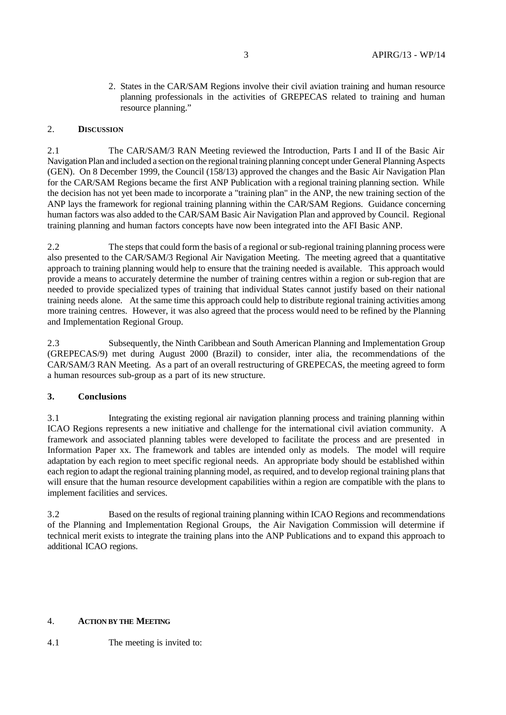2. States in the CAR/SAM Regions involve their civil aviation training and human resource planning professionals in the activities of GREPECAS related to training and human resource planning."

#### 2. **DISCUSSION**

2.1 The CAR/SAM/3 RAN Meeting reviewed the Introduction, Parts I and II of the Basic Air Navigation Plan and included a section on the regional training planning concept under General Planning Aspects (GEN). On 8 December 1999, the Council (158/13) approved the changes and the Basic Air Navigation Plan for the CAR/SAM Regions became the first ANP Publication with a regional training planning section. While the decision has not yet been made to incorporate a "training plan" in the ANP, the new training section of the ANP lays the framework for regional training planning within the CAR/SAM Regions. Guidance concerning human factors was also added to the CAR/SAM Basic Air Navigation Plan and approved by Council. Regional training planning and human factors concepts have now been integrated into the AFI Basic ANP.

2.2 The steps that could form the basis of a regional or sub-regional training planning process were also presented to the CAR/SAM/3 Regional Air Navigation Meeting. The meeting agreed that a quantitative approach to training planning would help to ensure that the training needed is available. This approach would provide a means to accurately determine the number of training centres within a region or sub-region that are needed to provide specialized types of training that individual States cannot justify based on their national training needs alone. At the same time this approach could help to distribute regional training activities among more training centres. However, it was also agreed that the process would need to be refined by the Planning and Implementation Regional Group.

2.3 Subsequently, the Ninth Caribbean and South American Planning and Implementation Group (GREPECAS/9) met during August 2000 (Brazil) to consider, inter alia, the recommendations of the CAR/SAM/3 RAN Meeting. As a part of an overall restructuring of GREPECAS, the meeting agreed to form a human resources sub-group as a part of its new structure.

### **3. Conclusions**

3.1 Integrating the existing regional air navigation planning process and training planning within ICAO Regions represents a new initiative and challenge for the international civil aviation community. A framework and associated planning tables were developed to facilitate the process and are presented in Information Paper xx. The framework and tables are intended only as models. The model will require adaptation by each region to meet specific regional needs. An appropriate body should be established within each region to adapt the regional training planning model, as required, and to develop regional training plans that will ensure that the human resource development capabilities within a region are compatible with the plans to implement facilities and services.

3.2 Based on the results of regional training planning within ICAO Regions and recommendations of the Planning and Implementation Regional Groups, the Air Navigation Commission will determine if technical merit exists to integrate the training plans into the ANP Publications and to expand this approach to additional ICAO regions.

#### 4. **ACTION BY THE MEETING**

### 4.1 The meeting is invited to: